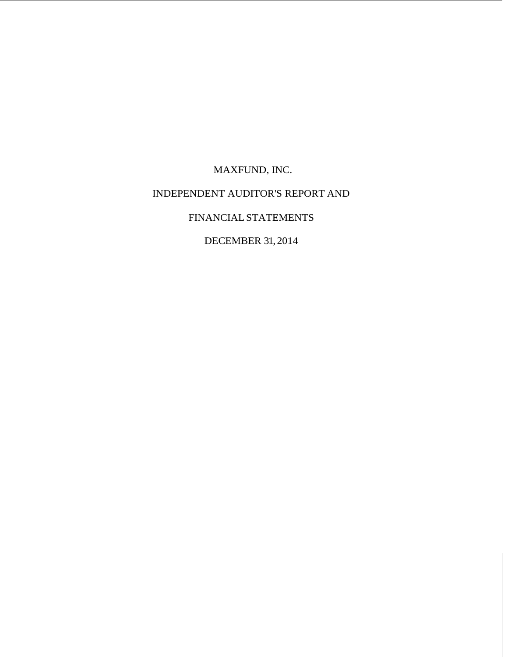MAXFUND, INC. INDEPENDENT AUDITOR'S REPORT AND FINANCIAL STATEMENTS DECEMBER 31, 2014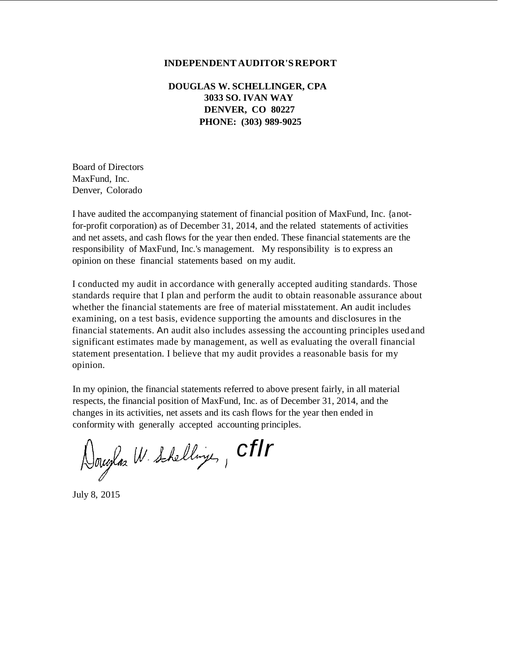# **INDEPENDENT AUDITOR'S REPORT**

**DOUGLAS W. SCHELLINGER, CPA 3033 SO. IVAN WAY DENVER, CO 80227 PHONE: (303) 989-9025**

Board of Directors MaxFund, Inc. Denver, Colorado

I have audited the accompanying statement of financial position of MaxFund, Inc. {a notfor-profit corporation) as of December 31, 2014, and the related statements of activities and net assets, and cash flows for the year then ended. These financial statements are the responsibility of MaxFund, Inc.'s management. My responsibility is to express an opinion on these financial statements based on my audit.

I conducted my audit in accordance with generally accepted auditing standards. Those standards require that I plan and perform the audit to obtain reasonable assurance about whether the financial statements are free of material misstatement. An audit includes examining, on a test basis, evidence supporting the amounts and disclosures in the financial statements. An audit also includes assessing the accounting principles used and significant estimates made by management, as well as evaluating the overall financial statement presentation. I believe that my audit provides a reasonable basis for my opinion.

In my opinion, the financial statements referred to above present fairly, in all material respects, the financial position of MaxFund, Inc. as of December 31, 2014, and the changes in its activities, net assets and its cash flows for the year then ended in conformity with generally accepted accounting principles.

Douglas W. Schellinge, CFIr

July 8, 2015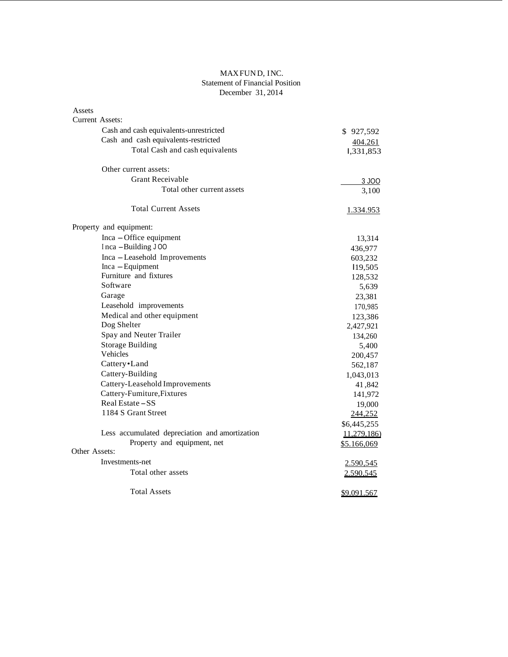## MAX FUND, INC. Statement of Financial Position December 31, 2014

| Assets                                         |                  |
|------------------------------------------------|------------------|
| Current Assets:                                |                  |
| Cash and cash equivalents-unrestricted         | \$927,592        |
| Cash and cash equivalents-restricted           | 404.261          |
| Total Cash and cash equivalents                | 1,331,853        |
| Other current assets:                          |                  |
| <b>Grant Receivable</b>                        |                  |
|                                                | 3 JOO            |
| Total other current assets                     | 3,100            |
| <b>Total Current Assets</b>                    | <u>1.334.953</u> |
| Property and equipment:                        |                  |
| Inca - Office equipment                        | 13,314           |
| Inca - Building J00                            | 436,977          |
| Inca - Leasehold Improvements                  | 603,232          |
| Inca - Equipment                               | 119,505          |
| Furniture and fixtures                         | 128,532          |
| Software                                       | 5,639            |
| Garage                                         | 23,381           |
| Leasehold improvements                         | 170,985          |
| Medical and other equipment                    | 123,386          |
| Dog Shelter                                    | 2,427,921        |
| Spay and Neuter Trailer                        | 134,260          |
| <b>Storage Building</b>                        | 5,400            |
| Vehicles                                       | 200,457          |
| Cattery•Land                                   | 562,187          |
| Cattery-Building                               | 1,043,013        |
| Cattery-Leasehold Improvements                 | 41,842           |
| Cattery-Fumiture, Fixtures                     | 141,972          |
| Real Estate – SS                               | 19,000           |
| 1184 S Grant Street                            | 244,252          |
|                                                | \$6,445,255      |
| Less accumulated depreciation and amortization | 11,279,186)      |
| Property and equipment, net                    | \$5.166,069      |
| Other Assets:                                  |                  |
| Investments-net                                | 2.590,545        |
| Total other assets                             | 2.590.545        |
|                                                |                  |
| <b>Total Assets</b>                            | \$9.091.567      |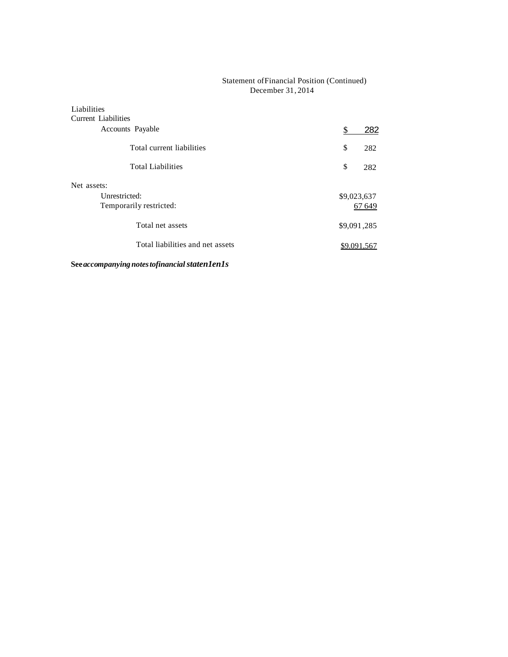# Statement of Financial Position (Continued) December 31 , 2014

| Liabilities<br>Current Liabilities |             |
|------------------------------------|-------------|
| Accounts Payable                   | \$<br>282   |
| Total current liabilities          | \$<br>282   |
| <b>Total Liabilities</b>           | \$<br>282   |
| Net assets:                        |             |
| Unrestricted:                      | \$9,023,637 |
| Temporarily restricted:            | 67 649      |
| Total net assets                   | \$9,091,285 |
| Total liabilities and net assets   | \$9,091,567 |

**See** *accompanying notes tofinancial staten1en1s*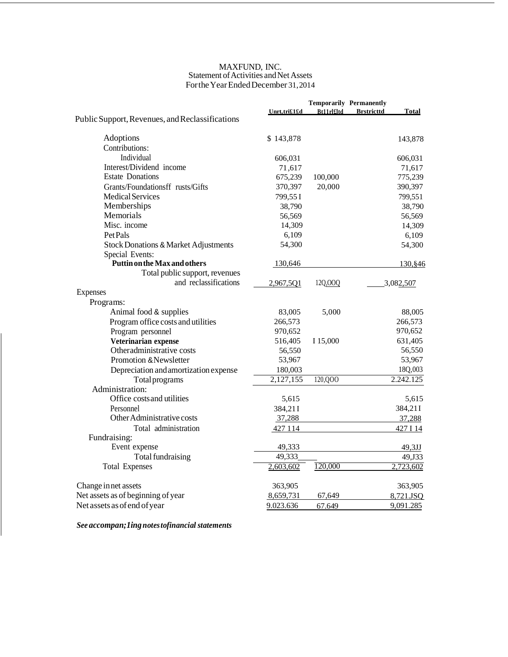#### MAXFUND, INC. Statement of Activities and Net Assets For the Year Ended December 31, 2014

|                                                 |              |                   | <b>Temporarily Permanently</b>    |
|-------------------------------------------------|--------------|-------------------|-----------------------------------|
|                                                 | Unrt,tri£1£d | <b>Bt11rl£ltd</b> | <b>Brstricttd</b><br><b>Total</b> |
| Public Support, Revenues, and Reclassifications |              |                   |                                   |
| Adoptions                                       | \$143,878    |                   | 143,878                           |
| Contributions:                                  |              |                   |                                   |
| Individual                                      | 606,031      |                   | 606,031                           |
| Interest/Dividend income                        | 71,617       |                   | 71,617                            |
| <b>Estate Donations</b>                         | 675,239      | 100,000           | 775,239                           |
| Grants/Foundationsff rusts/Gifts                | 370,397      | 20,000            | 390,397                           |
| <b>Medical Services</b>                         | 799,55 I     |                   | 799,551                           |
| Memberships                                     | 38,790       |                   | 38,790                            |
| Memorials                                       | 56,569       |                   | 56,569                            |
| Misc. income                                    | 14,309       |                   | 14,309                            |
| Pet Pals                                        | 6,109        |                   | 6,109                             |
| <b>Stock Donations &amp; Market Adjustments</b> | 54,300       |                   | 54,300                            |
| Special Events:                                 |              |                   |                                   |
| Puttin on the Max and others                    | 130,646      |                   | 130, \$46                         |
| Total public support, revenues                  |              |                   |                                   |
| and reclassifications                           | 2,967,5Q1    | 12Q,000           | 3,082,507                         |
| <b>Expenses</b>                                 |              |                   |                                   |
| Programs:                                       |              |                   |                                   |
| Animal food & supplies                          | 83,005       | 5,000             | 88,005                            |
| Program office costs and utilities              | 266,573      |                   | 266,573                           |
| Program personnel                               | 970,652      |                   | 970,652                           |
| Veterinarian expense                            | 516,405      | I 15,000          | 631,405                           |
| Otheradministrative costs                       | 56,550       |                   | 56,550                            |
| Promotion & Newsletter                          | 53,967       |                   | 53,967                            |
| Depreciation and amortization expense           | 180,003      |                   | 18Q,003                           |
| <b>Total</b> programs                           | 2,127,155    | 120,QOO           | 2.242.125                         |
| Administration:                                 |              |                   |                                   |
| Office costs and utilities                      | 5,615        |                   | 5,615                             |
| Personnel                                       | 384,21I      |                   | 384,21I                           |
| Other Administrative costs                      | 37,288       |                   | 37,288                            |
| Total administration                            | 427 114      |                   | 427 I 14                          |
| Fundraising:                                    |              |                   |                                   |
| Event expense                                   | 49,333       |                   | 49,3JJ                            |
| Total fundraising                               | 49,333       |                   | 49,J33                            |
| <b>Total Expenses</b>                           | 2,603,602    | 120,000           | 2,723,602                         |
| Change in net assets                            | 363,905      |                   | 363,905                           |
| Net assets as of beginning of year              | 8,659,731    | 67,649            | 8,721.JSQ                         |
| Net assets as of end of year                    | 9.023.636    | 67.649            | 9,091.285                         |

*See accompan;1ing notes tofinancial statements*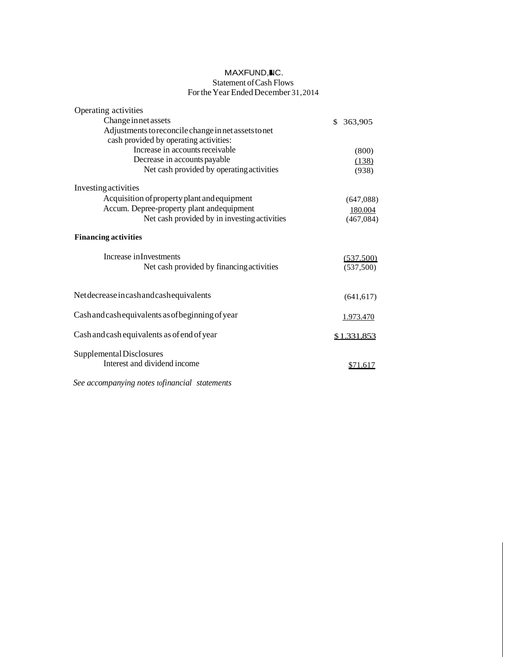# MAXFUND, IC. Statement of Cash Flows For the Year Ended December 31 , 2014

| Operating activities                                 |               |
|------------------------------------------------------|---------------|
| Change in net assets                                 | \$<br>363,905 |
| Adjustments to reconcile change in net assets to net |               |
| cash provided by operating activities:               |               |
| Increase in accounts receivable                      | (800)         |
| Decrease in accounts payable                         | (138)         |
| Net cash provided by operating activities            | (938)         |
| Investing activities                                 |               |
| Acquisition of property plant and equipment          | (647,088)     |
| Accum. Depree-property plant and equipment           | 180.004       |
| Net cash provided by in investing activities         | (467, 084)    |
| <b>Financing activities</b>                          |               |
| Increase in Investments                              | (537.500)     |
| Net cash provided by financing activities            | (537,500)     |
|                                                      |               |
| Net decrease in cash and cash equivalents            | (641, 617)    |
| Cash and cash equivalents as of beginning of year    |               |
|                                                      | 1.973.470     |
| Cash and cash equivalents as of end of year          | \$1.331.853   |
| Supplemental Disclosures                             |               |
| Interest and dividend income                         | \$71.617      |
|                                                      |               |

*See accompanying notes tofinancial statements*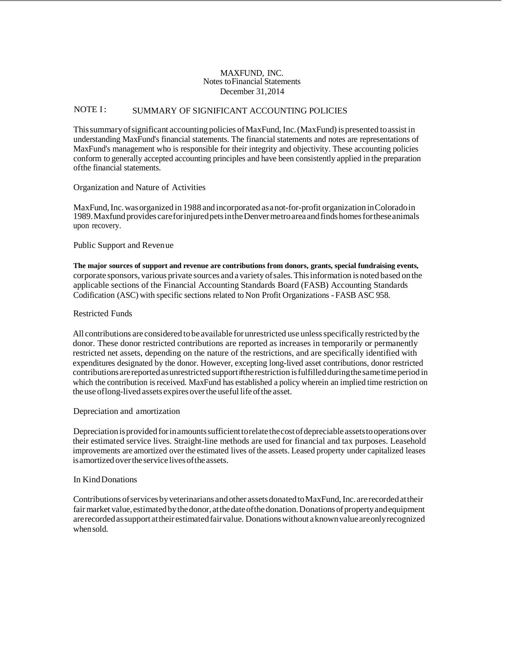## MAXFUND, INC. Notes to Financial Statements December 31, 2014

# NOTE I: SUMMARY OF SIGNIFICANT ACCOUNTING POLICIES

This summary of significant accounting policies of MaxFund, Inc. (MaxFund) is presented to assist in understanding MaxFund's financial statements. The financial statements and notes are representations of MaxFund's management who is responsible for their integrity and objectivity. These accounting policies conform to generally accepted accounting principles and have been consistently applied in the preparation of the financial statements.

Organization and Nature of Activities

MaxFund, Inc. was organized in 1988 and incorporated as a not-for-profit organization in Colorado in 1989. Maxfund provides care for injured pets in the Denver metro area and finds homes for these animals upon recovery.

Public Support and Reven ue

**The major sources of support and revenue are contributions from donors, grants, special fundraising events,**  corporate sponsors, various private sources and a variety of sales. This information is noted based on the applicable sections of the Financial Accounting Standards Board (FASB) Accounting Standards Codification (ASC) with specific sections related to Non Profit Organizations - FASB ASC 958.

## Restricted Funds

All contributions are considered to be available for unrestricted use unless specifically restricted by the donor. These donor restricted contributions are reported as increases in temporarily or permanently restricted net assets, depending on the nature of the restrictions, and are specifically identified with expenditures designated by the donor. However, excepting long-lived asset contributions, donor restricted contributions are reported as unrestricted support ifthe restriction is fulfilled during the same time period in which the contribution is received. MaxFund has established a policy wherein an implied time restriction on the use of long-lived assets expires over the useful life of the asset.

#### Depreciation and amortization

Depreciation is provided for in amounts sufficient to relate the cost of depreciable assets to operations over their estimated service lives. Straight-line methods are used for financial and tax purposes. Leasehold improvements are amortized over the estimated lives of the assets. Leased property under capitalized leases is amortized over the service lives of the assets.

#### In Kind Donations

Contributions of services by veterinarians and other assets donated to MaxFund, Inc. are recorded at their fair market value, estimated by the donor, at the date of the donation. Donations of property and equipment are recorded as support at their estimated fair value. Donations without a known value are only recognized when sold.